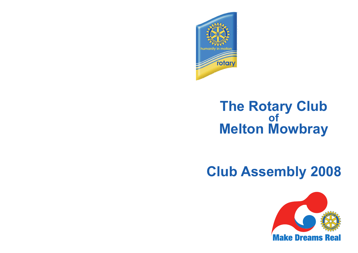

## **The Rotary Club of Melton Mowbray**

# **Club Assembly 2008**

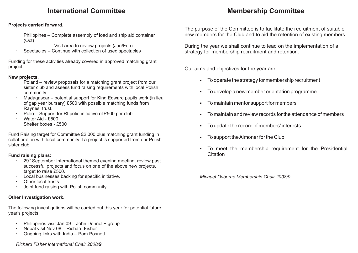## **International Committee**

## **Membership Committee**

#### **Projects carried forward.**

- Philippines Complete assembly of load and ship aid container (Oct)
	- Visit area to review projects (Jan/Feb)
- Spectacles Continue with collection of used spectacles

Funding for these activities already covered in approved matching grant project.

#### **New projects.**

- Poland review proposals for a matching grant project from our sister club and assess fund raising requirements with local Polish community.
- Madagascar potential support for King Edward pupils work (in lieu of gap year bursary) £500 with possible matching funds from Raynes trust.
- Polio Support for RI polio initiative of £500 per club
- · Water Aid £500
- Shelter boxes £500

Fund Raising target for Committee £2,000 plus matching grant funding in collaboration with local community if a project is supported from our Polish sister club.

#### **Fund raising plans:**

- $\cdot$  29<sup>th</sup> September International themed evening meeting, review past successful projects and focus on one of the above new projects, target to raise £500.
- Local businesses backing for specific initiative.
- · Other local trusts.
- · Joint fund raising with Polish community.

#### **Other Investigation work.**

The following investigations will be carried out this year for potential future year's projects:

- Philippines visit Jan 09 John Dehnel + group
- Nepal visit Nov 08 Richard Fisher
- · Ongoing links with India Pam Posnett

#### *Richard Fisher International Chair 2008/9*

The purpose of the Committee is to facilitate the recruitment of suitable new members for the Club and to aid the retention of existing members.

During the year we shall continue to lead on the implementation of a strategy for membership recruitment and retention.

Our aims and objectives for the year are:

- §To operate the strategy for membership recruitment
- §To develop a new member orientation programme
- §To maintain mentor support for members
- §To maintain and review records for the attendance of members
- §To update the record of members' interests
- §To support the Almoner for the Club
- To meet the membership requirement for the Presidential **Citation**

*Michael Osborne Membership Chair 2008/9*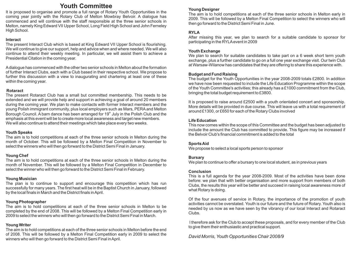### **Youth Committee**

It is proposed to organise and promote a full range of Rotary Youth Opportunities in the coming year jointly with the Rotary Club of Melton Mowbray Belvoir. A dialogue has commenced and will continue with the staff responsible at the three senior schools in Melton, namely King Edward VII Upper School, Long Field High School and John Ferneley High School.

#### **Interact**

The present Interact Club which is based at King Edward VII Upper School is flourishing. We will continue to give our support, help and advice when and where needed. We will also continue to attend their weekly meeting. In particular, we will assist them to achieve a Presidential Citation in the coming year.

Adialogue has commenced with the other two senior schools in Melton about the formation of further Interact Clubs, each with a Club based in their respective school. We propose to further this discussion with a view to inaugurating and chartering at least one of these within the coming year.

#### **Rotaract**

The present Rotaract Club has a small but committed membership. This needs to be extended and we will provide help and support in achieving a goal of around 20 members during the coming year. We plan to make contacts with former Interact members and the young Polish immigrant community, plus local employers such as Mars, PERAand Melton Borough Council. A barn dance has been arranged for  $19<sup>th</sup>$  July in the Polish Club and the emphasis at this event will be to create more local awareness and target new members. We will also continue to attend their meetings which take place every two weeks.

#### **Youth Speaks**

The aim is to hold competitions at each of the three senior schools in Melton during the month of October. This will be followed by a Melton Final Competition in November to select the winners who will then go forward to the District Semi Final in January.

#### **Young Chef**

The aim is to hold competitions at each of the three senior schools in Melton during the month of November. This will be followed by a Melton Final Competition in December to select the winner who will then go forward to the District Semi Final in February.

#### **Young Musician**

The plan is to continue to support and encourage this competition which has run successfully for many years. The first heat will be in the Baptist Church in January, followed by the local finals in March and the District finals in April.

#### **Young Photographer**

The aim is to hold competitions at each of the three senior schools in Melton to be completed by the end of 2008. This will be followed by a Melton Final Competition early in 2009 to select the winners who will then go forward to the District Semi Final in March.

#### **Young Writer**

The aim is to hold competitions at each of the three senior schools in Melton before the end of 2008. This will be followed by a Melton Final Competition early in 2009 to select the winners who will then go forward to the District Semi Final in April.

#### **Young Designer**

The aim is to hold competitions at each of the three senior schools in Melton early in 2009. This will be followed by a Melton Final Competition to select the winners who will then go forward to the District Semi Final in June.

#### **RYLA**

After missing this year, we plan to search for a suitable candidate to sponsor for participating in the RYLAevent in 2009

#### **Youth Exchange**

We plan to search for suitable candidates to take part on a 6 week short term youth exchange, plus a further candidate to go on a full one year exchange visit. Our twin Club at Warsaw-Wilanow has candidates that they are offering to share this experience with.

#### **Budget and Fund Raising**

The budget for the Youth Opportunities in the year 2008-2009 totals £2800. In addition we have now been requested to include the Life Education Programme within the scope of the Youth Committee's activities; this already has a £1000 commitment from the Club, bringing the total budget requirement to £3800.

It is proposed to raise around £2500 with a youth orientated concert and sponsorship. More details will be provided in due course. This will leave us with a total requirement of around £1300, or £650 for each of the Rotary Clubs involved

#### **Life Education**

This now comes within the scope of this Committee and the budget has been adjusted to include the amount the Club has committed to provide. This figure may be increased if the Belvoir Club's financial commitment is added to the total

#### **Sports Aid**

We propose to select a local sports person to sponsor

#### **Bursary**

We plan to continue to offer a bursary to one local student, as in previous years

#### **Conclusion**

This is a full agenda for the year 2008-2009. Most of the activities have been done before: we plan that with better organisation and more support from members of both Clubs, the results this year will be better and succeed in raising local awareness more of what Rotary is doing.

Of the four avenues of service in Rotary, the importance of the promotion of youth activities cannot be overstated. Youth is our future and the future of Rotary. Youth also is needed by us now as we have seen by the vibrancy of our local Interact and Rotaract Clubs.

I therefore ask for the Club to accept these proposals, and for every member of the Club to give them their enthusiastic and practical support.

*David Morris, Youth Opportunities Chair 2008/9*